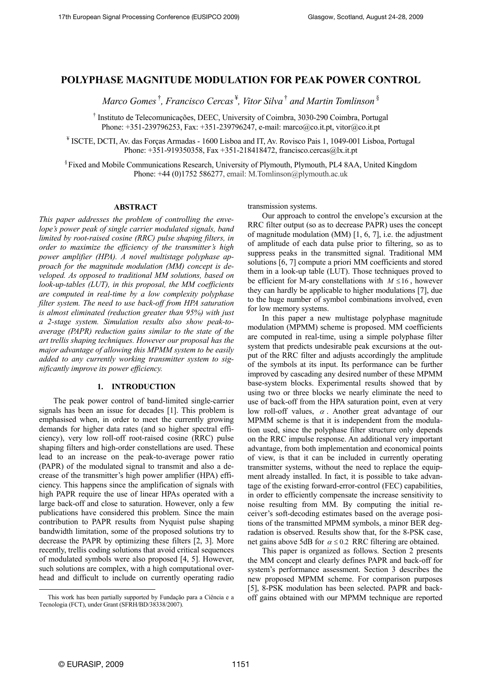## **POLYPHASE MAGNITUDE MODULATION FOR PEAK POWER CONTROL**

*Marco Gomes* †*, Francisco Cercas* ¥*, Vitor Silva* † *and Martin Tomlinson* §

† Instituto de Telecomunicações, DEEC, University of Coimbra, 3030-290 Coimbra, Portugal Phone: +351-239796253, Fax: +351-239796247, e-mail: marco@co.it.pt, vitor@co.it.pt

¥ ISCTE, DCTI, Av. das Forças Armadas - 1600 Lisboa and IT, Av. Rovisco Pais 1, 1049-001 Lisboa, Portugal Phone: +351-919350358, Fax +351-218418472, francisco.cercas@lx.it.pt

§ Fixed and Mobile Communications Research, University of Plymouth, Plymouth, PL4 8AA, United Kingdom Phone:  $+44$  (0)1752 586277, email: M.Tomlinson@plymouth.ac.uk

## **ABSTRACT**

*This paper addresses the problem of controlling the envelope's power peak of single carrier modulated signals, band limited by root-raised cosine (RRC) pulse shaping filters, in order to maximize the efficiency of the transmitter's high power amplifier (HPA). A novel multistage polyphase approach for the magnitude modulation (MM) concept is developed. As opposed to traditional MM solutions, based on look-up-tables (LUT), in this proposal, the MM coefficients are computed in real-time by a low complexity polyphase filter system. The need to use back-off from HPA saturation is almost eliminated (reduction greater than 95%) with just a 2-stage system. Simulation results also show peak-toaverage (PAPR) reduction gains similar to the state of the art trellis shaping techniques. However our proposal has the major advantage of allowing this MPMM system to be easily added to any currently working transmitter system to significantly improve its power efficiency.* 

## **1. INTRODUCTION**

The peak power control of band-limited single-carrier signals has been an issue for decades [1]. This problem is emphasised when, in order to meet the currently growing demands for higher data rates (and so higher spectral efficiency), very low roll-off root-raised cosine (RRC) pulse shaping filters and high-order constellations are used. These lead to an increase on the peak-to-average power ratio (PAPR) of the modulated signal to transmit and also a decrease of the transmitter's high power amplifier (HPA) efficiency. This happens since the amplification of signals with high PAPR require the use of linear HPAs operated with a large back-off and close to saturation. However, only a few publications have considered this problem. Since the main contribution to PAPR results from Nyquist pulse shaping bandwidth limitation, some of the proposed solutions try to decrease the PAPR by optimizing these filters [2, 3]. More recently, trellis coding solutions that avoid critical sequences of modulated symbols were also proposed [4, 5]. However, such solutions are complex, with a high computational overhead and difficult to include on currently operating radio

transmission systems.

be efficient for M-ary constellations with  $M \le 16$ , however Our approach to control the envelope's excursion at the RRC filter output (so as to decrease PAPR) uses the concept of magnitude modulation (MM) [1, 6, 7], i.e. the adjustment of amplitude of each data pulse prior to filtering, so as to suppress peaks in the transmitted signal. Traditional MM solutions [6, 7] compute a priori MM coefficients and stored them in a look-up table (LUT). Those techniques proved to they can hardly be applicable to higher modulations [7], due to the huge number of symbol combinations involved, even for low memory systems.

In this paper a new multistage polyphase magnitude modulation (MPMM) scheme is proposed. MM coefficients are computed in real-time, using a simple polyphase filter system that predicts undesirable peak excursions at the output of the RRC filter and adjusts accordingly the amplitude of the symbols at its input. Its performance can be further improved by cascading any desired number of these MPMM base-system blocks. Experimental results showed that by using two or three blocks we nearly eliminate the need to use of back-off from the HPA saturation point, even at very low roll-off values,  $\alpha$ . Another great advantage of our MPMM scheme is that it is independent from the modulation used, since the polyphase filter structure only depends on the RRC impulse response. An additional very important advantage, from both implementation and economical points of view, is that it can be included in currently operating transmitter systems, without the need to replace the equipment already installed. In fact, it is possible to take advantage of the existing forward-error-control (FEC) capabilities, in order to efficiently compensate the increase sensitivity to noise resulting from MM. By computing the initial receiver's soft-decoding estimates based on the average positions of the transmitted MPMM symbols, a minor BER degradation is observed. Results show that, for the 8-PSK case, net gains above 5dB for  $\alpha \le 0.2$  RRC filtering are obtained.

This paper is organized as follows. Section 2 presents the MM concept and clearly defines PAPR and back-off for system's performance assessment. Section 3 describes the new proposed MPMM scheme. For comparison purposes [5], 8-PSK modulation has been selected. PAPR and backoff gains obtained with our MPMM technique are reported

l

<span id="page-0-0"></span>This work has been partially supported by Fundação para a Ciência e a Tecnologia (FCT), under Grant (SFRH/BD/38338/2007).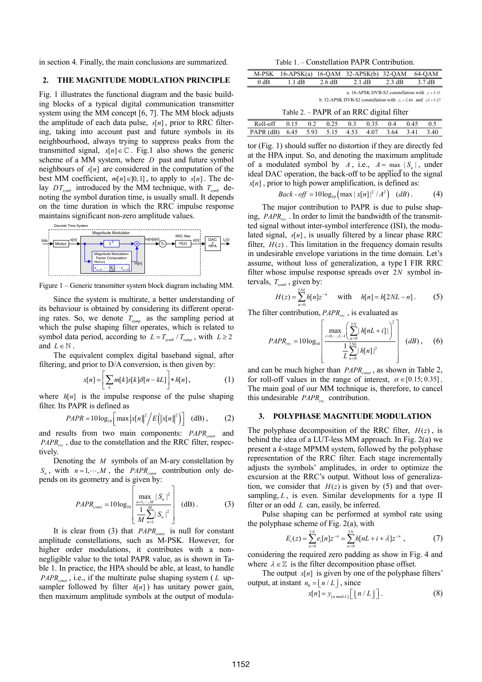in section 4. Finally, the main conclusions are summarized. Table 1. – Constellation PAPR Contribution.

# **2.** THE MAGNITUDE MODULATION PRINCIPLE  $\frac{M}{\beta}$

Fig. 1 illustrates the functional diagram and the basic building blocks of a typical digital communication transmitter system using the MM concept [6, 7]. The MM block adjusts the amplitude of each data pulse,  $s[n]$ , prior to RRC filterscheme of a MM system, where  $D$  past and future symbol ing, taking into account past and future symbols in its neighbourhood, always trying to suppress peaks from the transmitted signal,  $x[n] \in \mathbb{C}$ . Fig.1 also shows the generic neighbours of  $s[n]$  are considered in the computation of the best MM coefficient,  $m[n] \in ]0,1]$ , to apply to  $s[n]$ . The delay  $DT_{\text{symb}}$  introduced by the MM technique, with  $T_{\text{symb}}$  denoting the symbol duration time, is usually small. It depends on the time duration in which the RRC impulse response maintains significant non-zero amplitude values.



<span id="page-1-1"></span>Figure 1 – Generic transmitter system block diagram including MM.

Since the system is multirate, a better understanding of its behaviour is obtained by considering its different operating rates. So, we denote *Tsamp* as the sampling period at which the pulse shaping filter operates, which is related to symbol data period, according to  $L = T_{\text{symb}} / T_{\text{sample}}$ , with  $L \ge 2$ and  $L \in \mathbb{N}$ .

The equivalent complex digital baseband signal, after filtering, and prior to D/A conversion, is then given by:

$$
x[n] = \left[ \sum_{k} m[k]s[k]\delta[n - k] \right] * h[n], \qquad (1)
$$

where  $h[n]$  is the impulse response of the pulse shaping filter. Its PAPR is defined as

$$
PAPR = 10\log_{10}\left[\max\left|x[n]\right|^2\middle/E\left(\left|x[n]\right|^2\right)\right] \quad \text{(dB)}\,,\tag{2}
$$

and results from two main components:  $PAPR_{const}$  and  $PAPR_{\text{rec}}$ , due to the constellation and the RRC filter, respectively.

<span id="page-1-0"></span>Denoting the *M* symbols of an M-ary constellation by  $S_n$ , with  $n = 1, \dots, M$ , the *PAPR*<sub>const</sub> contribution only depends on its geometry and is given by:

$$
PAPR_{const} = 10\log_{10}\left[\frac{\max_{n=1,\cdots,M}|S_n|^2}{\frac{1}{M}\sum_{n=1}^M|S_n|^2}\right] \quad (dB).
$$
 (3)

<span id="page-1-2"></span>It is clear from [\(3\)](#page-1-0) that *PAPR*<sub>const</sub> is null for constant amplitude constellations, such as M-PSK. However, for higher order modulations, it contributes with a nonnegligible value to the total PAPR value, as is shown in Table 1. In practice, the HPA should be able, at least, to handle  $PAPR_{const}$ , i.e., if the multirate pulse shaping system ( $L$  upsampler followed by filter  $h[n]$ ) has unitary power gain, then maximum amplitude symbols at the output of modula-

| M-PSK                                    | $16-APSK(a)$                                                                                                                         |        | $16$ -OAM $32$ -APSK(b) | $32-OAM$         | 64-OAM           |  |  |  |  |  |  |
|------------------------------------------|--------------------------------------------------------------------------------------------------------------------------------------|--------|-------------------------|------------------|------------------|--|--|--|--|--|--|
| $0$ dB                                   | 1.1 dB                                                                                                                               | 2.6 dB | $2.1 \text{ dB}$        | $2.3 \text{ dB}$ | $3.7 \text{ dB}$ |  |  |  |  |  |  |
|                                          | a. 16-APSK DVB-S2 constellation with $\gamma = 3.15$<br>b. 32-APSK DVB-S2 constellation with $\gamma_1 = 2.84$ and $\gamma_2 = 5.27$ |        |                         |                  |                  |  |  |  |  |  |  |
| Table 2. – PAPR of an RRC digital filter |                                                                                                                                      |        |                         |                  |                  |  |  |  |  |  |  |

| Roll-off 0.15 0.2 0.25 0.3 0.35 0.4 0.45 0.5      |  |  |  |  |  |
|---------------------------------------------------|--|--|--|--|--|
| PAPR (dB) 6.45 5.93 5.15 4.53 4.07 3.64 3.41 3.40 |  |  |  |  |  |
|                                                   |  |  |  |  |  |

tor (Fig. 1) should suffer no distortion if they are directly fed at the HPA input. So, and denoting the maximum amplitude of a modulated symbol by *A*, i.e.,  $A = \max_{n=1,\dots,K} |S_n|$ , under  $x[n]$ , prior to high power amplification, is defined as: ideal DAC operation, the back-off to be applied to the signal

*Back-off* = 
$$
10\log_{10}(\max |x[n]|^2 / A^2)
$$
 (*dB*). (4)

ing, *PAPR*<sub>rc</sub>. In order to limit the bandwidth of the transmitlated signal,  $s[n]$ , is usually filtered by a linear phase RRC The major contribution to PAPR is due to pulse shapted signal without inter-symbol interference (ISI), the modufilter,  $H(z)$ . This limitation in the frequency domain results filter whose impulse response spreads over 2N symbol inin undesirable envelope variations in the time domain. Let's assume, without loss of generalization, a type I FIR RRC tervals,  $T_{\text{symb}}$ , given by:

$$
H(z) = \sum_{n=0}^{2NL} h[n] z^{-n} \quad \text{with} \quad h[n] = h[2NL - n]. \tag{5}
$$

The filter contribution,  $PAPR_{rrc}$ , is evaluated as  $\left[\begin{array}{cc} 2N & 2 \end{array}\right]$ 

$$
PAPR_{\text{rec}} = 10\log_{10}\left[\frac{\max\limits_{i=0,\cdots,L-1}\left(\sum\limits_{n=0}^{2N} |h[nL+i]| \right)^{2}}{\frac{1}{L}\sum\limits_{n=0}^{2NL} |h[n]|^{2}}\right] (dB), \quad (6)
$$

and can be much higher than *PAPR*<sub>const</sub>, as shown in Table 2, for roll-off values in the range of interest,  $\alpha \in [0.15; 0.35]$ . this undesirable  $PAPR_{rrc}$  contribution. The main goal of our MM technique is, therefore, to cancel

## **3. POLYPHASE MAGNITUDE MODULATION**

The polyphase decomposition of the RRC filter,  $H(z)$ , is tion, we consider that  $H(z)$  is given by [\(5\)](#page-1-1) and that overbehind the idea of a LUT-less MM approach. In Fig. 2(a) we present a *k*-stage MPMM system, followed by the polyphase representation of the RRC filter. Each stage incrementally adjusts the symbols' amplitudes, in order to optimize the excursion at the RRC's output. Without loss of generalizasampling,  $L$ , is even. Similar developments for a type II filter or an odd *L* can, easily, be inferred.

Pulse shaping can be performed at symbol rate using the polyphase scheme of Fig.  $2(a)$ , with

$$
E_i(z) = \sum_{n=0}^{2N} e_i[n]z^{-n} = \sum_{n=0}^{2N} h[nL + i + \lambda]z^{-n}, \qquad (7)
$$

considering the required zero padding as show in Fig. 4 and where  $\lambda \in \mathbb{Z}$  is the filter decomposition phase offset.

The output  $x[n]$  is given by one of the polyphase filters' output, at instant  $n_0 = \lfloor n/L \rfloor$ , since

$$
x[n] = y_{(n \bmod L)} \Big[ \lfloor n/L \rfloor \Big]. \tag{8}
$$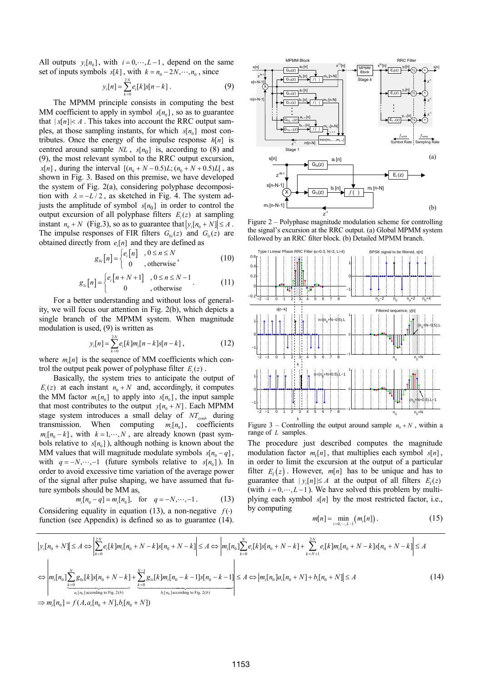<span id="page-2-0"></span>All outputs  $y_i[n_0]$ , with  $i = 0, \dots, L-1$ , depend on the same set of inputs symbols  $s[k]$ , with  $k = n_0 - 2N, \dots, n_0$ , since

$$
y_i[n] = \sum_{k=0}^{2N} e_i[k]s[n-k].
$$
 (9)

The MPMM principle consists in computing the best MM coefficient to apply in symbol  $s[n_0]$ , so as to guarantee that  $|x[n]| \leq A$ . This takes into account the RRC output samples, at those sampling instants, for which  $s[n_0]$  most contributes. Once the energy of the impulse response  $h[n]$  is centred around sample  $NL$ ,  $s[n_0]$  is, according to [\(8\)](#page-1-2) and [\(9\),](#page-2-0) the most relevant symbol to the RRC output excursion,  $x[n]$ , during the interval  $[(n_0 + N - 0.5)L; (n_0 + N + 0.5)L]$ , as shown in Fig. 3. Based on this premise, we have developed the system of Fig. 2(a), considering polyphase decomposition with  $\lambda = -L/2$ , as sketched in Fig. 4. The system adjusts the amplitude of symbol  $s[n_0]$  in order to control the output excursion of all polyphase filters  $E_i(z)$  at sampling instant  $n_0 + N$  (Fig.3), so as to guarantee that  $|y_i[n_0 + N]| \leq A$ . The impulse responses of FIR filters  $G_{0i}(z)$  and  $G_{1i}(z)$  are obtained directly from  $e_i[n]$  and they are defined as

$$
g_{0i}[n] = \begin{cases} e_i[n] & , 0 \le n \le N \\ 0 & , \text{otherwise} \end{cases}
$$
 (10)

$$
g_{1i}[n] = \begin{cases} e_i[n+N+1] & , 0 \le n \le N-1 \\ 0 & , \text{otherwise} \end{cases} . \tag{11}
$$

<span id="page-2-3"></span><span id="page-2-2"></span>For a better understanding and without loss of generality, we will focus our attention in Fig. 2(b), which depicts a single branch of the MPMM system. When magnitude modulation is used, [\(9\)](#page-2-0) is written as

$$
y_i[n] = \sum_{k=0}^{2N} e_i[k]m_i[n-k]s[n-k], \qquad (12)
$$

where  $m_i[n]$  is the sequence of MM coefficients which control the output peak power of polyphase filter  $E_i(z)$ .

Basically, the system tries to anticipate the output of  $E_i(z)$  at each instant  $n_0 + N$  and, accordingly, it computes the MM factor  $m_i[n_0]$  to apply into  $s[n_0]$ , the input sample that most contributes to the output  $y[n_0 + N]$ . Each MPMM stage system introduces a small delay of  $NT_{symb}$  during transmission. When computing  $m_i[n_0]$ , coefficients  $m_i[n_0 - k]$ , with  $k = 1, \dots, N$ , are already known (past symbols relative to  $s[n_0]$ ), although nothing is known about the MM values that will magnitude modulate symbols  $s[n_0 - q]$ , with  $q = -N, \dots, -1$  (future symbols relative to  $s[n_0]$ ). In order to avoid excessive time variation of the average power of the signal after pulse shaping, we have assumed that future symbols should be MM as,

$$
m_i[n_0 - q] \approx m_i[n_0],
$$
 for  $q = -N, \dots, -1$ . (13)

<span id="page-2-1"></span>Considering equality in equation [\(13\)](#page-2-1), a non-negative  $f(·)$ function (see Appendix) is defined so as to guarantee (14).



Figure 2 – Polyphase magnitude modulation scheme for controlling the signal's excursion at the RRC output. (a) Global MPMM system followed by an RRC filter block. (b) Detailed MPMM branch.



Figure 3 – Controlling the output around sample  $n_0 + N$ , within a range of *L* samples.

The procedure just described computes the magnitude modulation factor  $m_i[n]$ , that multiplies each symbol  $s[n]$ , in order to limit the excursion at the output of a particular filter  $E_i(z)$ . However,  $m[n]$  has to be unique and has to guarantee that  $|y_i[n]| \leq A$  at the output of all filters  $E_i(z)$ (with  $i = 0, \dots, L-1$ ). We have solved this problem by multiplying each symbol  $s[n]$  by the most restricted factor, i.e., by computing

$$
m[n] = \min_{i=0,\dots,L-1} (m_i[n]). \tag{15}
$$

$$
\left| y_{i}[n_{0} + N] \right| \leq A \Leftrightarrow \left| \sum_{k=0}^{2N} e_{i}[k]m_{i}[n_{0} + N - k]s[n_{0} + N - k] \right| \leq A \Leftrightarrow \left| m_{i}[n_{0}] \sum_{k=0}^{N} e_{i}[k]s[n_{0} + N - k] + \sum_{k=N+1}^{2N} e_{i}[k]m_{i}[n_{0} + N - k]s[n_{0} + N - k] \right| \leq A
$$
  

$$
\Leftrightarrow \left| m_{i}[n_{0}] \sum_{k=0}^{N} g_{0i}[k]s[n_{0} + N - k] + \sum_{k=0}^{N-1} g_{1i}[k]m_{i}[n_{0} - k - 1]s[n_{0} - k - 1] \right| \leq A \Leftrightarrow \left| m_{i}[n_{0}]a_{i}[n_{0} + N] + b_{i}[n_{0} + N] \right| \leq A
$$
  

$$
\Rightarrow m_{i}[n_{0}] = f(A, a_{i}[n_{0} + N], b_{i}[n_{0} + N])
$$
 (14)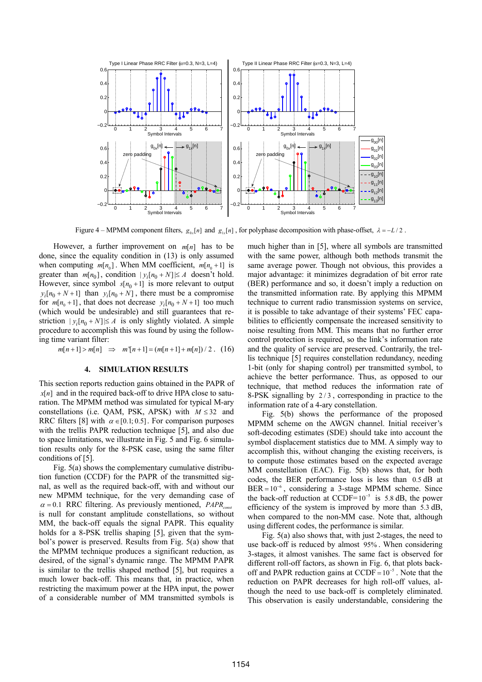![](_page_3_Figure_0.jpeg)

Figure 4 – MPMM component filters,  $g_{0x}[n]$  and  $g_{1x}[n]$ , for polyphase decomposition with phase-offset,  $\lambda = -L/2$ .

However, a further improvement on  $m[n]$  has to be done, since the equality condition in [\(13\)](#page-2-1) is only assumed when computing  $m[n_0]$ . When MM coefficient,  $m[n_0 + 1]$  is greater than  $m[n_0]$ , condition  $|y_i[n_0 + N]| \le A$  doesn't hold. However, since symbol  $s[n_0+1]$  is more relevant to output  $y_i[n_0 + N + 1]$  than  $y_i[n_0 + N]$ , there must be a compromise for  $m[n_0 + 1]$ , that does not decrease  $y_i[n_0 + N + 1]$  too much (which would be undesirable) and still guarantees that restriction  $|y_i[n_0+N] \le A$  is only slightly violated. A simple procedure to accomplish this was found by using the following time variant filter: *m n*

$$
n[n+1] > m[n] \Rightarrow m^{n}[n+1] = (m[n+1] + m[n]) / 2. (16)
$$

## **4. SIMULATION RESULTS**

 $x[n]$  and in the required back-off to drive HPA close to satu-This section reports reduction gains obtained in the PAPR of ration. The MPMM method was simulated for typical M-ary constellations (i.e. OAM, PSK, APSK) with  $M \leq 32$  and RRC filters [8] with  $\alpha \in [0.1; 0.5]$ . For comparison purposes with the trellis PAPR reduction technique [5], and also due to space limitations, we illustrate in Fig. 5 and Fig. 6 simulation results only for the 8-PSK case, using the same filter conditions of [5].

Fig. 5(a) shows the complementary cumulative distribution function (CCDF) for the PAPR of the transmitted signal, as well as the required back-off, with and without our new MPMM technique, for the very demanding case of  $\alpha$  = 0.1 RRC filtering. As previously mentioned, *PAPR*<sub>const</sub> is null for constant amplitude constellations, so without MM, the back-off equals the signal PAPR. This equality holds for a 8-PSK trellis shaping [5], given that the symbol's power is preserved. Results from Fig. 5(a) show that the MPMM technique produces a significant reduction, as desired, of the signal's dynamic range. The MPMM PAPR is similar to the trellis shaped method [5], but requires a much lower back-off. This means that, in practice, when restricting the maximum power at the HPA input, the power of a considerable number of MM transmitted symbols is much higher than in [5], where all symbols are transmitted with the same power, although both methods transmit the same average power. Though not obvious, this provides a major advantage: it minimizes degradation of bit error rate (BER) performance and so, it doesn't imply a reduction on the transmitted information rate. By applying this MPMM technique to current radio transmission systems on service, it is possible to take advantage of their systems' FEC capabilities to efficiently compensate the increased sensitivity to noise resulting from MM. This means that no further error control protection is required, so the link's information rate and the quality of service are preserved. Contrarily, the trellis technique [5] requires constellation redundancy, needing 1-bit (only for shaping control) per transmitted symbol, to achieve the better performance. Thus, as opposed to our technique, that method reduces the information rate of 8-PSK signalling by 2/3 , corresponding in practice to the information rate of a 4-ary constellation.

Fig. 5(b) shows the performance of the proposed MPMM scheme on the AWGN channel. Initial receiver's soft-decoding estimates (SDE) should take into account the symbol displacement statistics due to MM. A simply way to accomplish this, without changing the existing receivers, is to compute those estimates based on the expected average MM constellation (EAC). Fig. 5(b) shows that, for both codes, the BER performance loss is less than  $0.5$  dB at  $BER = 10^{-6}$ , considering a 3-stage MPMM scheme. Since the back-off reduction at CCDF= $10^{-5}$  is 5.8 dB, the power efficiency of the system is improved by more than  $5.3 \text{ dB}$ , when compared to the non-MM case. Note that, although using different codes, the performance is similar.

use back-off is reduced by almost 95%. When considering off and PAPR reduction gains at CCDF =  $10^{-5}$ . Note that the Fig. 5(a) also shows that, with just 2-stages, the need to 3-stages, it almost vanishes. The same fact is observed for different roll-off factors, as shown in Fig. 6, that plots backreduction on PAPR decreases for high roll-off values, although the need to use back-off is completely eliminated. This observation is easily understandable, considering the